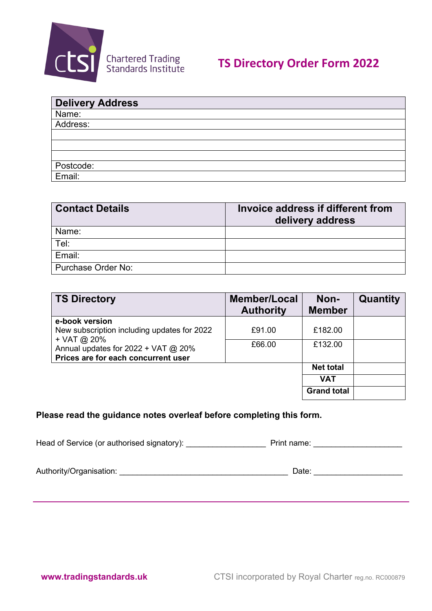

| Delivery Address |
|------------------|
| Name:            |
| Address:         |
|                  |
|                  |
|                  |
| Postcode:        |
| Email:           |

| <b>Contact Details</b> | Invoice address if different from<br>delivery address |  |  |
|------------------------|-------------------------------------------------------|--|--|
| Name:                  |                                                       |  |  |
| Tel:                   |                                                       |  |  |
| Email:                 |                                                       |  |  |
| Purchase Order No:     |                                                       |  |  |

| <b>TS Directory</b>                                                                                        | <b>Member/Local</b><br><b>Authority</b> | Non-<br><b>Member</b> | Quantity |
|------------------------------------------------------------------------------------------------------------|-----------------------------------------|-----------------------|----------|
| e-book version                                                                                             |                                         |                       |          |
| New subscription including updates for 2022<br>+ VAT @ 20%<br>Annual updates for $2022 + \text{VAT}$ @ 20% | £91.00                                  | £182.00               |          |
|                                                                                                            | £66.00                                  | £132.00               |          |
| Prices are for each concurrent user                                                                        |                                         |                       |          |
|                                                                                                            |                                         | <b>Net total</b>      |          |
|                                                                                                            |                                         | <b>VAT</b>            |          |
|                                                                                                            |                                         | <b>Grand total</b>    |          |

## **Please read the guidance notes overleaf before completing this form.**

Head of Service (or authorised signatory): \_\_\_\_\_\_\_\_\_\_\_\_\_\_\_\_\_\_ Print name: \_\_\_\_\_\_\_\_\_\_\_\_\_\_\_\_\_\_\_\_

Authority/Organisation: \_\_\_\_\_\_\_\_\_\_\_\_\_\_\_\_\_\_\_\_\_\_\_\_\_\_\_\_\_\_\_\_\_\_\_\_\_\_ Date: \_\_\_\_\_\_\_\_\_\_\_\_\_\_\_\_\_\_\_\_